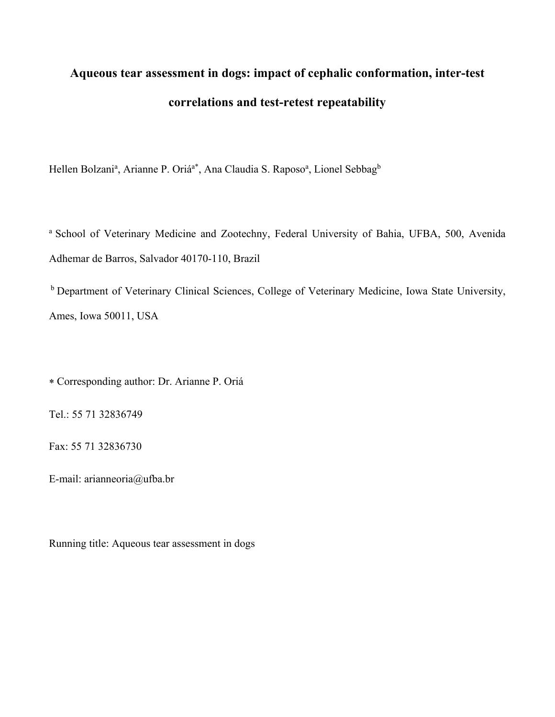# **Aqueous tear assessment in dogs: impact of cephalic conformation, inter-test correlations and test-retest repeatability**

Hellen Bolzani<sup>a</sup>, Arianne P. Oriá<sup>a\*</sup>, Ana Claudia S. Raposo<sup>a</sup>, Lionel Sebbag<sup>b</sup>

a School of Veterinary Medicine and Zootechny, Federal University of Bahia, UFBA, 500, Avenida Adhemar de Barros, Salvador 40170-110, Brazil

 b Department of Veterinary Clinical Sciences, College of Veterinary Medicine, Iowa State University, Ames, Iowa 50011, USA

Corresponding author: Dr. Arianne P. Oriá

Tel.: 55 71 32836749

Fax: 55 71 32836730

E-mail: arianneoria@ufba.br

Running title: Aqueous tear assessment in dogs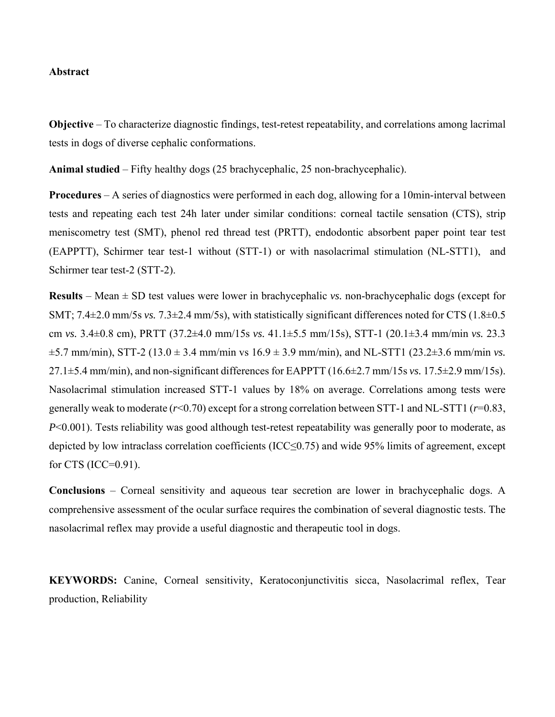# **Abstract**

**Objective** – To characterize diagnostic findings, test-retest repeatability, and correlations among lacrimal tests in dogs of diverse cephalic conformations.

**Animal studied** – Fifty healthy dogs (25 brachycephalic, 25 non-brachycephalic).

**Procedures** – A series of diagnostics were performed in each dog, allowing for a 10min-interval between tests and repeating each test 24h later under similar conditions: corneal tactile sensation (CTS), strip meniscometry test (SMT), phenol red thread test (PRTT), endodontic absorbent paper point tear test (EAPPTT), Schirmer tear test-1 without (STT-1) or with nasolacrimal stimulation (NL-STT1), and Schirmer tear test-2 (STT-2).

**Results** – Mean ± SD test values were lower in brachycephalic *vs.* non-brachycephalic dogs (except for SMT; 7.4±2.0 mm/5s *vs.* 7.3±2.4 mm/5s), with statistically significant differences noted for CTS (1.8±0.5 cm *vs.* 3.4±0.8 cm), PRTT (37.2±4.0 mm/15s *vs.* 41.1±5.5 mm/15s), STT-1 (20.1±3.4 mm/min *vs.* 23.3  $\pm$ 5.7 mm/min), STT-2 (13.0  $\pm$  3.4 mm/min vs 16.9  $\pm$  3.9 mm/min), and NL-STT1 (23.2 $\pm$ 3.6 mm/min *vs*. 27.1±5.4 mm/min), and non-significant differences for EAPPTT (16.6±2.7 mm/15s *vs.* 17.5±2.9 mm/15s). Nasolacrimal stimulation increased STT-1 values by 18% on average. Correlations among tests were generally weak to moderate (*r*<0.70) except for a strong correlation between STT-1 and NL-STT1 (*r*=0.83, *P*<0.001). Tests reliability was good although test-retest repeatability was generally poor to moderate, as depicted by low intraclass correlation coefficients (ICC≤0.75) and wide 95% limits of agreement, except for CTS (ICC=0.91).

**Conclusions** – Corneal sensitivity and aqueous tear secretion are lower in brachycephalic dogs. A comprehensive assessment of the ocular surface requires the combination of several diagnostic tests. The nasolacrimal reflex may provide a useful diagnostic and therapeutic tool in dogs.

**KEYWORDS:** Canine, Corneal sensitivity, Keratoconjunctivitis sicca, Nasolacrimal reflex, Tear production, Reliability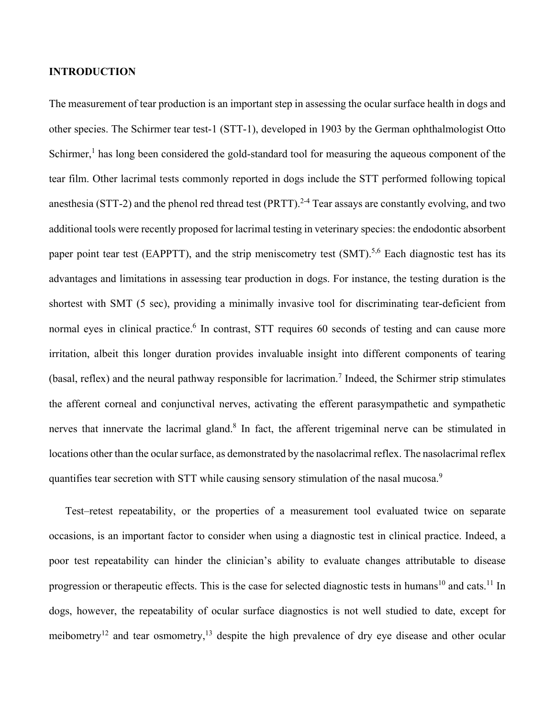# **INTRODUCTION**

The measurement of tear production is an important step in assessing the ocular surface health in dogs and other species. The Schirmer tear test-1 (STT-1), developed in 1903 by the German ophthalmologist Otto Schirmer,<sup>1</sup> has long been considered the gold-standard tool for measuring the aqueous component of the tear film. Other lacrimal tests commonly reported in dogs include the STT performed following topical anesthesia (STT-2) and the phenol red thread test (PRTT).<sup>2-4</sup> Tear assays are constantly evolving, and two additional tools were recently proposed for lacrimal testing in veterinary species: the endodontic absorbent paper point tear test (EAPPTT), and the strip meniscometry test (SMT).<sup>5,6</sup> Each diagnostic test has its advantages and limitations in assessing tear production in dogs. For instance, the testing duration is the shortest with SMT (5 sec), providing a minimally invasive tool for discriminating tear-deficient from normal eyes in clinical practice.<sup>6</sup> In contrast, STT requires 60 seconds of testing and can cause more irritation, albeit this longer duration provides invaluable insight into different components of tearing (basal, reflex) and the neural pathway responsible for lacrimation.<sup>7</sup> Indeed, the Schirmer strip stimulates the afferent corneal and conjunctival nerves, activating the efferent parasympathetic and sympathetic nerves that innervate the lacrimal gland.<sup>8</sup> In fact, the afferent trigeminal nerve can be stimulated in locations other than the ocular surface, as demonstrated by the nasolacrimal reflex. The nasolacrimal reflex quantifies tear secretion with STT while causing sensory stimulation of the nasal mucosa.<sup>9</sup>

Test–retest repeatability, or the properties of a measurement tool evaluated twice on separate occasions, is an important factor to consider when using a diagnostic test in clinical practice. Indeed, a poor test repeatability can hinder the clinician's ability to evaluate changes attributable to disease progression or therapeutic effects. This is the case for selected diagnostic tests in humans<sup>10</sup> and cats.<sup>11</sup> In dogs, however, the repeatability of ocular surface diagnostics is not well studied to date, except for meibometry<sup>12</sup> and tear osmometry,<sup>13</sup> despite the high prevalence of dry eye disease and other ocular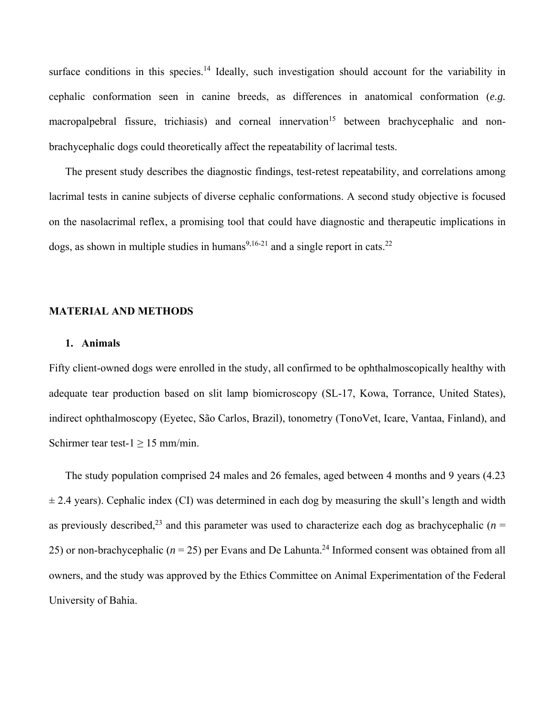surface conditions in this species.<sup>14</sup> Ideally, such investigation should account for the variability in cephalic conformation seen in canine breeds, as differences in anatomical conformation (*e.g.* macropalpebral fissure, trichiasis) and corneal innervation<sup>15</sup> between brachycephalic and nonbrachycephalic dogs could theoretically affect the repeatability of lacrimal tests.

The present study describes the diagnostic findings, test-retest repeatability, and correlations among lacrimal tests in canine subjects of diverse cephalic conformations. A second study objective is focused on the nasolacrimal reflex, a promising tool that could have diagnostic and therapeutic implications in dogs, as shown in multiple studies in humans<sup>9,16-21</sup> and a single report in cats.<sup>22</sup>

#### **MATERIAL AND METHODS**

# **1. Animals**

Fifty client-owned dogs were enrolled in the study, all confirmed to be ophthalmoscopically healthy with adequate tear production based on slit lamp biomicroscopy (SL-17, Kowa, Torrance, United States), indirect ophthalmoscopy (Eyetec, São Carlos, Brazil), tonometry (TonoVet, Icare, Vantaa, Finland), and Schirmer tear test- $1 \ge 15$  mm/min.

The study population comprised 24 males and 26 females, aged between 4 months and 9 years (4.23  $\pm$  2.4 years). Cephalic index (CI) was determined in each dog by measuring the skull's length and width as previously described,<sup>23</sup> and this parameter was used to characterize each dog as brachycephalic ( $n =$ 25) or non-brachycephalic ( $n = 25$ ) per Evans and De Lahunta.<sup>24</sup> Informed consent was obtained from all owners, and the study was approved by the Ethics Committee on Animal Experimentation of the Federal University of Bahia.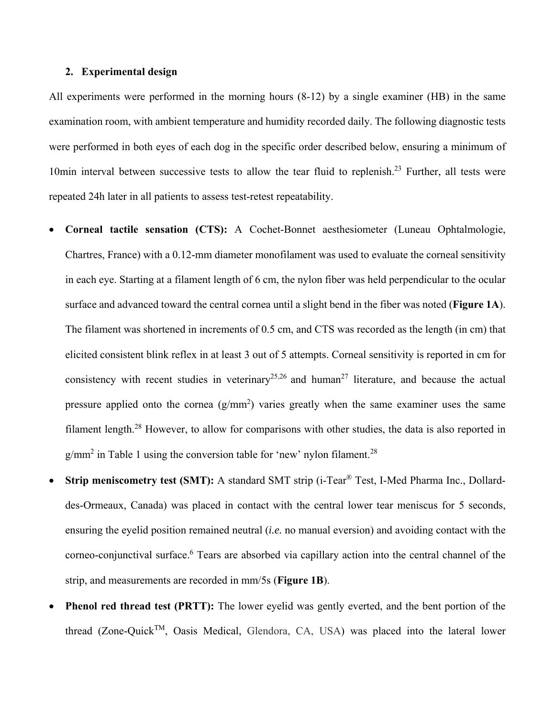# **2. Experimental design**

All experiments were performed in the morning hours (8-12) by a single examiner (HB) in the same examination room, with ambient temperature and humidity recorded daily. The following diagnostic tests were performed in both eyes of each dog in the specific order described below, ensuring a minimum of 10 $\text{min}$  interval between successive tests to allow the tear fluid to replenish.<sup>23</sup> Further, all tests were repeated 24h later in all patients to assess test-retest repeatability.

- **Corneal tactile sensation (CTS):** A Cochet-Bonnet aesthesiometer (Luneau Ophtalmologie, Chartres, France) with a 0.12-mm diameter monofilament was used to evaluate the corneal sensitivity in each eye. Starting at a filament length of 6 cm, the nylon fiber was held perpendicular to the ocular surface and advanced toward the central cornea until a slight bend in the fiber was noted (**Figure 1A**). The filament was shortened in increments of 0.5 cm, and CTS was recorded as the length (in cm) that elicited consistent blink reflex in at least 3 out of 5 attempts. Corneal sensitivity is reported in cm for consistency with recent studies in veterinary<sup>25,26</sup> and human<sup>27</sup> literature, and because the actual pressure applied onto the cornea  $(g/mm^2)$  varies greatly when the same examiner uses the same filament length.28 However, to allow for comparisons with other studies, the data is also reported in  $g/mm<sup>2</sup>$  in Table 1 using the conversion table for 'new' nylon filament.<sup>28</sup>
- **Strip meniscometry test (SMT):** A standard SMT strip (i-Tear<sup>®</sup> Test, I-Med Pharma Inc., Dollarddes-Ormeaux, Canada) was placed in contact with the central lower tear meniscus for 5 seconds, ensuring the eyelid position remained neutral (*i.e.* no manual eversion) and avoiding contact with the corneo-conjunctival surface.<sup>6</sup> Tears are absorbed via capillary action into the central channel of the strip, and measurements are recorded in mm/5s (**Figure 1B**).
- **Phenol red thread test (PRTT):** The lower eyelid was gently everted, and the bent portion of the thread (Zone-Quick<sup>TM</sup>, Oasis Medical, Glendora, CA, USA) was placed into the lateral lower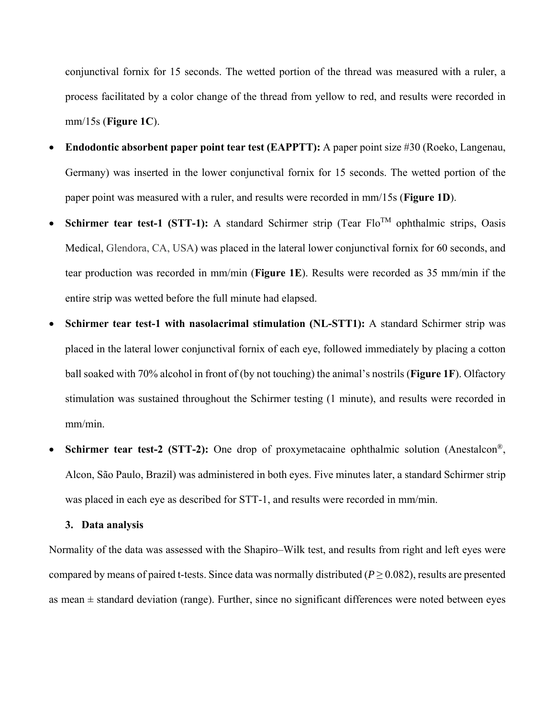conjunctival fornix for 15 seconds. The wetted portion of the thread was measured with a ruler, a process facilitated by a color change of the thread from yellow to red, and results were recorded in mm/15s (**Figure 1C**).

- **Endodontic absorbent paper point tear test (EAPPTT):** A paper point size #30 (Roeko, Langenau, Germany) was inserted in the lower conjunctival fornix for 15 seconds. The wetted portion of the paper point was measured with a ruler, and results were recorded in mm/15s (**Figure 1D**).
- **Schirmer tear test-1 (STT-1):** A standard Schirmer strip (Tear  $Flo^{TM}$  ophthalmic strips, Oasis Medical, Glendora, CA, USA) was placed in the lateral lower conjunctival fornix for 60 seconds, and tear production was recorded in mm/min (**Figure 1E**). Results were recorded as 35 mm/min if the entire strip was wetted before the full minute had elapsed.
- **Schirmer tear test-1 with nasolacrimal stimulation (NL-STT1):** A standard Schirmer strip was placed in the lateral lower conjunctival fornix of each eye, followed immediately by placing a cotton ball soaked with 70% alcohol in front of (by not touching) the animal's nostrils (**Figure 1F**). Olfactory stimulation was sustained throughout the Schirmer testing (1 minute), and results were recorded in mm/min.
- **Schirmer tear test-2 (STT-2):** One drop of proxymetacaine ophthalmic solution (Anestalcon®, Alcon, São Paulo, Brazil) was administered in both eyes. Five minutes later, a standard Schirmer strip was placed in each eye as described for STT-1, and results were recorded in mm/min.

# **3. Data analysis**

Normality of the data was assessed with the Shapiro–Wilk test, and results from right and left eyes were compared by means of paired t-tests. Since data was normally distributed ( $P \ge 0.082$ ), results are presented as mean  $\pm$  standard deviation (range). Further, since no significant differences were noted between eyes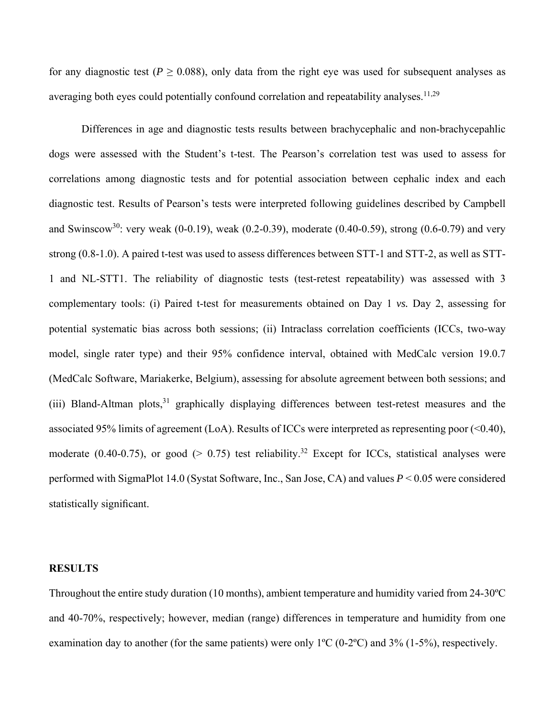for any diagnostic test ( $P \ge 0.088$ ), only data from the right eye was used for subsequent analyses as averaging both eyes could potentially confound correlation and repeatability analyses.  $11,29$ 

Differences in age and diagnostic tests results between brachycephalic and non-brachycepahlic dogs were assessed with the Student's t-test. The Pearson's correlation test was used to assess for correlations among diagnostic tests and for potential association between cephalic index and each diagnostic test. Results of Pearson's tests were interpreted following guidelines described by Campbell and Swinscow<sup>30</sup>: very weak (0-0.19), weak (0.2-0.39), moderate (0.40-0.59), strong (0.6-0.79) and very strong (0.8-1.0). A paired t-test was used to assess differences between STT-1 and STT-2, as well as STT-1 and NL-STT1. The reliability of diagnostic tests (test-retest repeatability) was assessed with 3 complementary tools: (i) Paired t-test for measurements obtained on Day 1 *vs.* Day 2, assessing for potential systematic bias across both sessions; (ii) Intraclass correlation coefficients (ICCs, two-way model, single rater type) and their 95% confidence interval, obtained with MedCalc version 19.0.7 (MedCalc Software, Mariakerke, Belgium), assessing for absolute agreement between both sessions; and (iii) Bland-Altman plots, $31$  graphically displaying differences between test-retest measures and the associated 95% limits of agreement (LoA). Results of ICCs were interpreted as representing poor (<0.40), moderate (0.40-0.75), or good ( $> 0.75$ ) test reliability.<sup>32</sup> Except for ICCs, statistical analyses were performed with SigmaPlot 14.0 (Systat Software, Inc., San Jose, CA) and values *P* < 0.05 were considered statistically significant.

#### **RESULTS**

Throughout the entire study duration (10 months), ambient temperature and humidity varied from 24-30ºC and 40-70%, respectively; however, median (range) differences in temperature and humidity from one examination day to another (for the same patients) were only  $1^{\circ}C$  (0-2 $^{\circ}C$ ) and 3% (1-5%), respectively.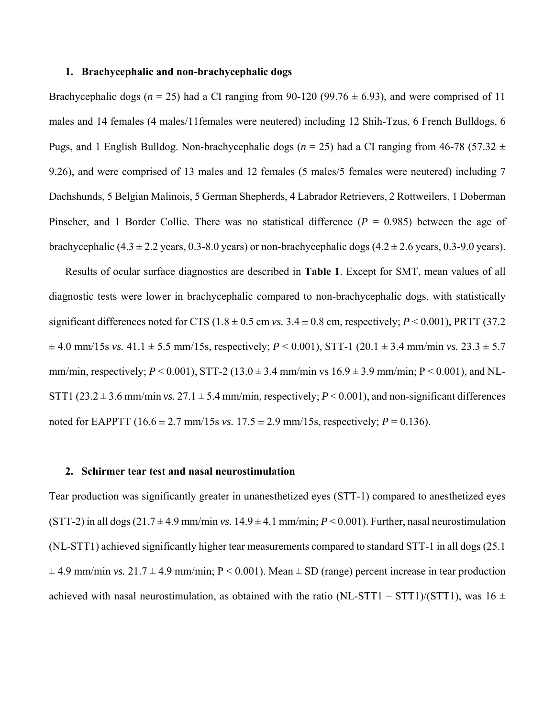#### **1. Brachycephalic and non-brachycephalic dogs**

Brachycephalic dogs ( $n = 25$ ) had a CI ranging from 90-120 (99.76  $\pm$  6.93), and were comprised of 11 males and 14 females (4 males/11females were neutered) including 12 Shih-Tzus, 6 French Bulldogs, 6 Pugs, and 1 English Bulldog. Non-brachycephalic dogs ( $n = 25$ ) had a CI ranging from 46-78 (57.32  $\pm$ 9.26), and were comprised of 13 males and 12 females (5 males/5 females were neutered) including 7 Dachshunds, 5 Belgian Malinois, 5 German Shepherds, 4 Labrador Retrievers, 2 Rottweilers, 1 Doberman Pinscher, and 1 Border Collie. There was no statistical difference  $(P = 0.985)$  between the age of brachycephalic (4.3  $\pm$  2.2 years, 0.3-8.0 years) or non-brachycephalic dogs (4.2  $\pm$  2.6 years, 0.3-9.0 years).

Results of ocular surface diagnostics are described in **Table 1**. Except for SMT, mean values of all diagnostic tests were lower in brachycephalic compared to non-brachycephalic dogs, with statistically significant differences noted for CTS ( $1.8 \pm 0.5$  cm *vs.*  $3.4 \pm 0.8$  cm, respectively;  $P \le 0.001$ ), PRTT (37.2)  $\pm$  4.0 mm/15s *vs.* 41.1  $\pm$  5.5 mm/15s, respectively; *P* < 0.001), STT-1 (20.1  $\pm$  3.4 mm/min *vs.* 23.3  $\pm$  5.7 mm/min, respectively;  $P < 0.001$ ), STT-2 (13.0  $\pm$  3.4 mm/min vs 16.9  $\pm$  3.9 mm/min; P < 0.001), and NL-STT1 (23.2  $\pm$  3.6 mm/min *vs.* 27.1  $\pm$  5.4 mm/min, respectively; *P* < 0.001), and non-significant differences noted for EAPPTT (16.6  $\pm$  2.7 mm/15s *vs.* 17.5  $\pm$  2.9 mm/15s, respectively; *P* = 0.136).

#### **2. Schirmer tear test and nasal neurostimulation**

Tear production was significantly greater in unanesthetized eyes (STT-1) compared to anesthetized eyes (STT-2) in all dogs  $(21.7 \pm 4.9 \text{ mm/min vs. } 14.9 \pm 4.1 \text{ mm/min}; P < 0.001)$ . Further, nasal neurostimulation (NL-STT1) achieved significantly higher tear measurements compared to standard STT-1 in all dogs (25.1  $\pm$  4.9 mm/min *vs.* 21.7  $\pm$  4.9 mm/min; P < 0.001). Mean  $\pm$  SD (range) percent increase in tear production achieved with nasal neurostimulation, as obtained with the ratio (NL-STT1 – STT1)/(STT1), was 16  $\pm$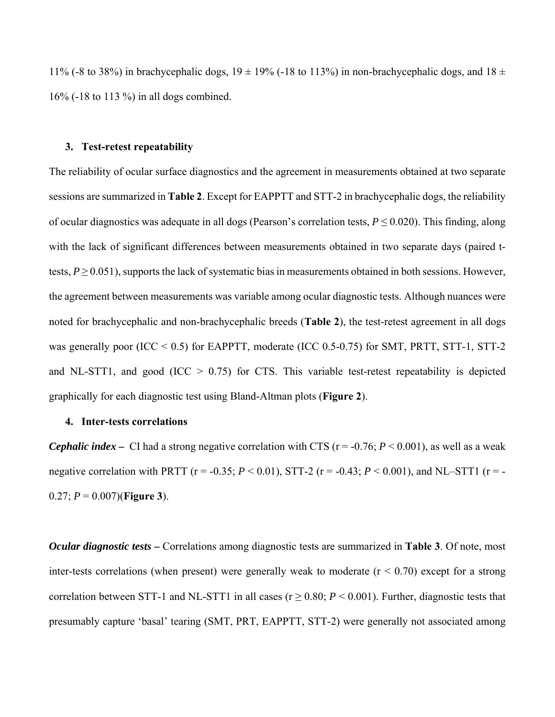11% (-8 to 38%) in brachycephalic dogs,  $19 \pm 19$ % (-18 to 113%) in non-brachycephalic dogs, and  $18 \pm 19$ 16% (-18 to 113 %) in all dogs combined.

#### **3. Test-retest repeatability**

The reliability of ocular surface diagnostics and the agreement in measurements obtained at two separate sessions are summarized in **Table 2**. Except for EAPPTT and STT-2 in brachycephalic dogs, the reliability of ocular diagnostics was adequate in all dogs (Pearson's correlation tests,  $P \le 0.020$ ). This finding, along with the lack of significant differences between measurements obtained in two separate days (paired ttests,  $P \ge 0.051$ ), supports the lack of systematic bias in measurements obtained in both sessions. However, the agreement between measurements was variable among ocular diagnostic tests. Although nuances were noted for brachycephalic and non-brachycephalic breeds (**Table 2**), the test-retest agreement in all dogs was generally poor (ICC  $< 0.5$ ) for EAPPTT, moderate (ICC 0.5-0.75) for SMT, PRTT, STT-1, STT-2 and NL-STT1, and good (ICC  $> 0.75$ ) for CTS. This variable test-retest repeatability is depicted graphically for each diagnostic test using Bland-Altman plots (**Figure 2**).

# **4. Inter-tests correlations**

*Cephalic index* – CI had a strong negative correlation with CTS ( $r = -0.76$ ;  $P \le 0.001$ ), as well as a weak negative correlation with PRTT ( $r = -0.35$ ;  $P < 0.01$ ), STT-2 ( $r = -0.43$ ;  $P < 0.001$ ), and NL–STT1 ( $r = -0.43$ ) 0.27; *P* = 0.007)(**Figure 3**).

*Ocular diagnostic tests –* Correlations among diagnostic tests are summarized in **Table 3**. Of note, most inter-tests correlations (when present) were generally weak to moderate  $(r < 0.70)$  except for a strong correlation between STT-1 and NL-STT1 in all cases ( $r \ge 0.80$ ;  $P < 0.001$ ). Further, diagnostic tests that presumably capture 'basal' tearing (SMT, PRT, EAPPTT, STT-2) were generally not associated among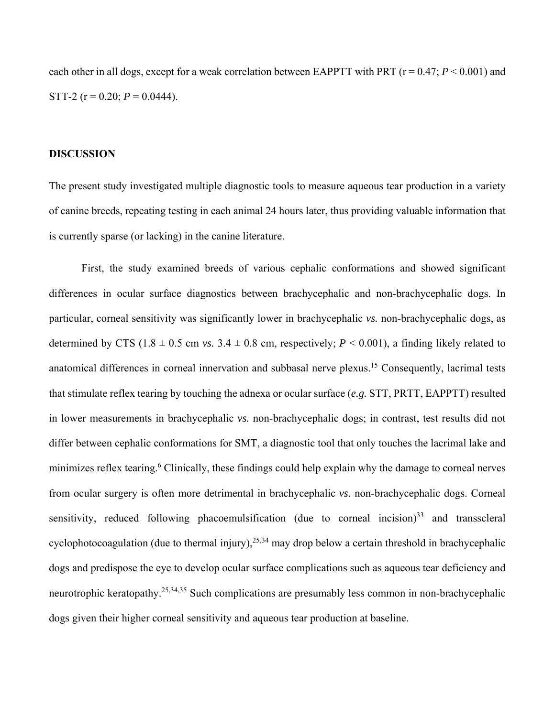each other in all dogs, except for a weak correlation between EAPPTT with PRT ( $r = 0.47$ ;  $P \le 0.001$ ) and STT-2 ( $r = 0.20$ ;  $P = 0.0444$ ).

## **DISCUSSION**

The present study investigated multiple diagnostic tools to measure aqueous tear production in a variety of canine breeds, repeating testing in each animal 24 hours later, thus providing valuable information that is currently sparse (or lacking) in the canine literature.

First, the study examined breeds of various cephalic conformations and showed significant differences in ocular surface diagnostics between brachycephalic and non-brachycephalic dogs. In particular, corneal sensitivity was significantly lower in brachycephalic *vs.* non-brachycephalic dogs, as determined by CTS (1.8  $\pm$  0.5 cm *vs.* 3.4  $\pm$  0.8 cm, respectively; *P* < 0.001), a finding likely related to anatomical differences in corneal innervation and subbasal nerve plexus.15 Consequently, lacrimal tests that stimulate reflex tearing by touching the adnexa or ocular surface (*e.g.* STT, PRTT, EAPPTT) resulted in lower measurements in brachycephalic *vs.* non-brachycephalic dogs; in contrast, test results did not differ between cephalic conformations for SMT, a diagnostic tool that only touches the lacrimal lake and minimizes reflex tearing.<sup>6</sup> Clinically, these findings could help explain why the damage to corneal nerves from ocular surgery is often more detrimental in brachycephalic *vs.* non-brachycephalic dogs. Corneal sensitivity, reduced following phacoemulsification (due to corneal incision) $33$  and transscleral cyclophotocoagulation (due to thermal injury),  $25,34$  may drop below a certain threshold in brachycephalic dogs and predispose the eye to develop ocular surface complications such as aqueous tear deficiency and neurotrophic keratopathy.25,34,35 Such complications are presumably less common in non-brachycephalic dogs given their higher corneal sensitivity and aqueous tear production at baseline.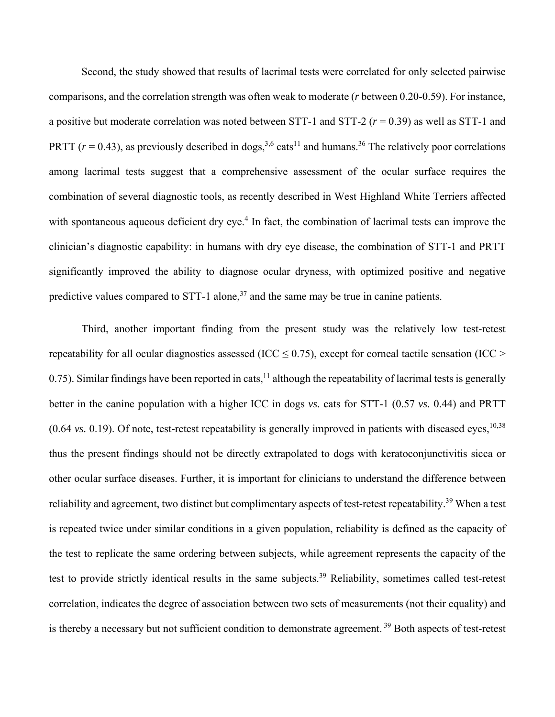Second, the study showed that results of lacrimal tests were correlated for only selected pairwise comparisons, and the correlation strength was often weak to moderate (*r* between 0.20-0.59). For instance, a positive but moderate correlation was noted between STT-1 and STT-2 (*r* = 0.39) as well as STT-1 and PRTT ( $r = 0.43$ ), as previously described in dogs,<sup>3,6</sup> cats<sup>11</sup> and humans.<sup>36</sup> The relatively poor correlations among lacrimal tests suggest that a comprehensive assessment of the ocular surface requires the combination of several diagnostic tools, as recently described in West Highland White Terriers affected with spontaneous aqueous deficient dry eye.<sup>4</sup> In fact, the combination of lacrimal tests can improve the clinician's diagnostic capability: in humans with dry eye disease, the combination of STT-1 and PRTT significantly improved the ability to diagnose ocular dryness, with optimized positive and negative predictive values compared to STT-1 alone, $37$  and the same may be true in canine patients.

Third, another important finding from the present study was the relatively low test-retest repeatability for all ocular diagnostics assessed (ICC  $\leq$  0.75), except for corneal tactile sensation (ICC  $>$ 0.75). Similar findings have been reported in cats,<sup>11</sup> although the repeatability of lacrimal tests is generally better in the canine population with a higher ICC in dogs *vs.* cats for STT-1 (0.57 *vs.* 0.44) and PRTT  $(0.64 \text{ vs. } 0.19)$ . Of note, test-retest repeatability is generally improved in patients with diseased eyes,  $10,38$ thus the present findings should not be directly extrapolated to dogs with keratoconjunctivitis sicca or other ocular surface diseases. Further, it is important for clinicians to understand the difference between reliability and agreement, two distinct but complimentary aspects of test-retest repeatability.<sup>39</sup> When a test is repeated twice under similar conditions in a given population, reliability is defined as the capacity of the test to replicate the same ordering between subjects, while agreement represents the capacity of the test to provide strictly identical results in the same subjects.<sup>39</sup> Reliability, sometimes called test-retest correlation, indicates the degree of association between two sets of measurements (not their equality) and is thereby a necessary but not sufficient condition to demonstrate agreement.<sup>39</sup> Both aspects of test-retest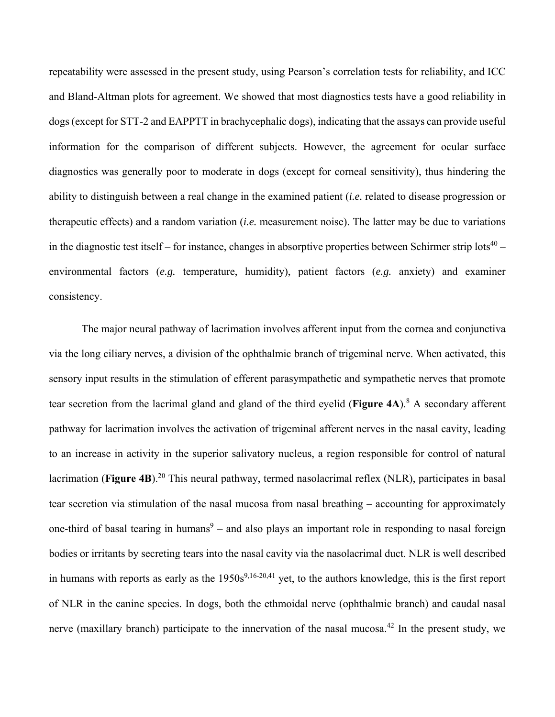repeatability were assessed in the present study, using Pearson's correlation tests for reliability, and ICC and Bland-Altman plots for agreement. We showed that most diagnostics tests have a good reliability in dogs (except for STT-2 and EAPPTT in brachycephalic dogs), indicating that the assays can provide useful information for the comparison of different subjects. However, the agreement for ocular surface diagnostics was generally poor to moderate in dogs (except for corneal sensitivity), thus hindering the ability to distinguish between a real change in the examined patient (*i.e.* related to disease progression or therapeutic effects) and a random variation (*i.e.* measurement noise). The latter may be due to variations in the diagnostic test itself – for instance, changes in absorptive properties between Schirmer strip lots<sup>40</sup> – environmental factors (*e.g.* temperature, humidity), patient factors (*e.g.* anxiety) and examiner consistency.

The major neural pathway of lacrimation involves afferent input from the cornea and conjunctiva via the long ciliary nerves, a division of the ophthalmic branch of trigeminal nerve. When activated, this sensory input results in the stimulation of efferent parasympathetic and sympathetic nerves that promote tear secretion from the lacrimal gland and gland of the third eyelid (Figure 4A).<sup>8</sup> A secondary afferent pathway for lacrimation involves the activation of trigeminal afferent nerves in the nasal cavity, leading to an increase in activity in the superior salivatory nucleus, a region responsible for control of natural lacrimation (**Figure 4B**).<sup>20</sup> This neural pathway, termed nasolacrimal reflex (NLR), participates in basal tear secretion via stimulation of the nasal mucosa from nasal breathing – accounting for approximately one-third of basal tearing in humans<sup>9</sup> – and also plays an important role in responding to nasal foreign bodies or irritants by secreting tears into the nasal cavity via the nasolacrimal duct. NLR is well described in humans with reports as early as the  $1950s^{9,16-20,41}$  yet, to the authors knowledge, this is the first report of NLR in the canine species. In dogs, both the ethmoidal nerve (ophthalmic branch) and caudal nasal nerve (maxillary branch) participate to the innervation of the nasal mucosa.<sup>42</sup> In the present study, we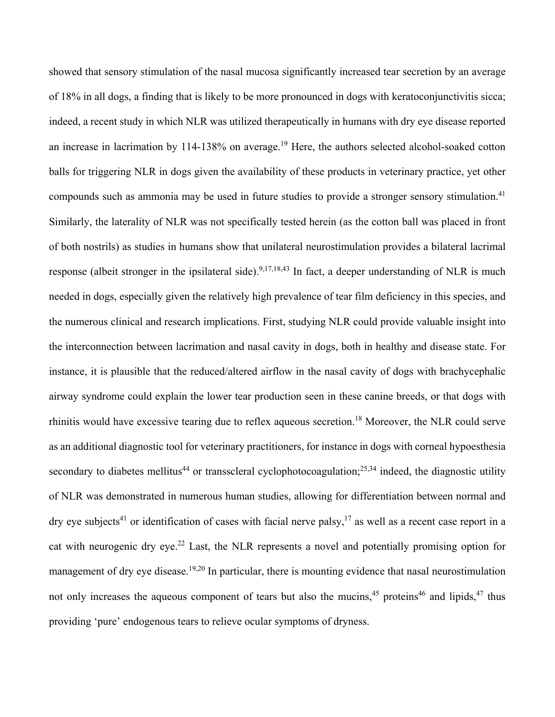showed that sensory stimulation of the nasal mucosa significantly increased tear secretion by an average of 18% in all dogs, a finding that is likely to be more pronounced in dogs with keratoconjunctivitis sicca; indeed, a recent study in which NLR was utilized therapeutically in humans with dry eye disease reported an increase in lacrimation by 114-138% on average.<sup>19</sup> Here, the authors selected alcohol-soaked cotton balls for triggering NLR in dogs given the availability of these products in veterinary practice, yet other compounds such as ammonia may be used in future studies to provide a stronger sensory stimulation.<sup>41</sup> Similarly, the laterality of NLR was not specifically tested herein (as the cotton ball was placed in front of both nostrils) as studies in humans show that unilateral neurostimulation provides a bilateral lacrimal response (albeit stronger in the ipsilateral side).<sup>9,17,18,43</sup> In fact, a deeper understanding of NLR is much needed in dogs, especially given the relatively high prevalence of tear film deficiency in this species, and the numerous clinical and research implications. First, studying NLR could provide valuable insight into the interconnection between lacrimation and nasal cavity in dogs, both in healthy and disease state. For instance, it is plausible that the reduced/altered airflow in the nasal cavity of dogs with brachycephalic airway syndrome could explain the lower tear production seen in these canine breeds, or that dogs with rhinitis would have excessive tearing due to reflex aqueous secretion.18 Moreover, the NLR could serve as an additional diagnostic tool for veterinary practitioners, for instance in dogs with corneal hypoesthesia secondary to diabetes mellitus<sup>44</sup> or transscleral cyclophotocoagulation;<sup>25,34</sup> indeed, the diagnostic utility of NLR was demonstrated in numerous human studies, allowing for differentiation between normal and dry eye subjects<sup>41</sup> or identification of cases with facial nerve palsy,<sup>17</sup> as well as a recent case report in a cat with neurogenic dry eye.<sup>22</sup> Last, the NLR represents a novel and potentially promising option for management of dry eye disease.<sup>19,20</sup> In particular, there is mounting evidence that nasal neurostimulation not only increases the aqueous component of tears but also the mucins,<sup>45</sup> proteins<sup>46</sup> and lipids,<sup>47</sup> thus providing 'pure' endogenous tears to relieve ocular symptoms of dryness.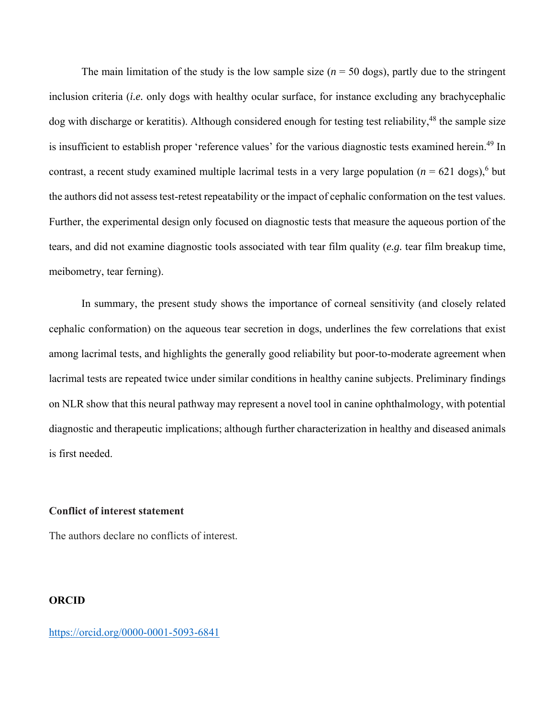The main limitation of the study is the low sample size  $(n = 50 \text{ dogs})$ , partly due to the stringent inclusion criteria (*i.e.* only dogs with healthy ocular surface, for instance excluding any brachycephalic dog with discharge or keratitis). Although considered enough for testing test reliability,<sup>48</sup> the sample size is insufficient to establish proper 'reference values' for the various diagnostic tests examined herein.<sup>49</sup> In contrast, a recent study examined multiple lacrimal tests in a very large population  $(n = 621 \text{ dogs})^6$  but the authors did not assess test-retest repeatability or the impact of cephalic conformation on the test values. Further, the experimental design only focused on diagnostic tests that measure the aqueous portion of the tears, and did not examine diagnostic tools associated with tear film quality (*e.g.* tear film breakup time, meibometry, tear ferning).

In summary, the present study shows the importance of corneal sensitivity (and closely related cephalic conformation) on the aqueous tear secretion in dogs, underlines the few correlations that exist among lacrimal tests, and highlights the generally good reliability but poor-to-moderate agreement when lacrimal tests are repeated twice under similar conditions in healthy canine subjects. Preliminary findings on NLR show that this neural pathway may represent a novel tool in canine ophthalmology, with potential diagnostic and therapeutic implications; although further characterization in healthy and diseased animals is first needed.

## **Conflict of interest statement**

The authors declare no conflicts of interest.

# **ORCID**

https://orcid.org/0000-0001-5093-6841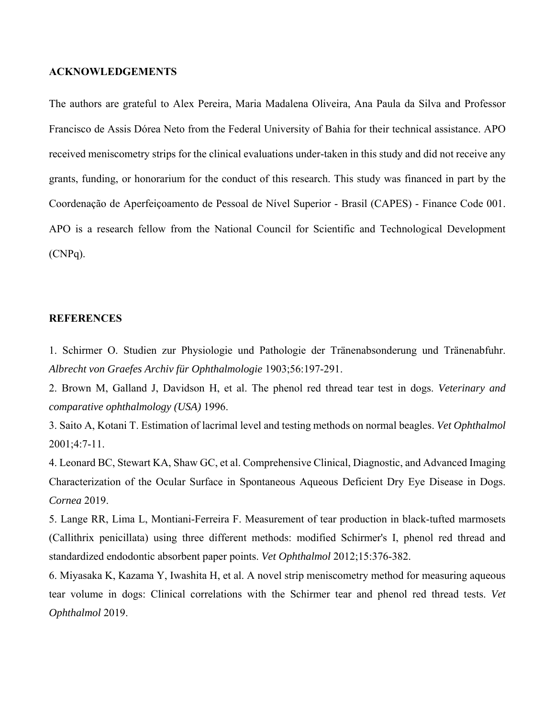#### **ACKNOWLEDGEMENTS**

The authors are grateful to Alex Pereira, Maria Madalena Oliveira, Ana Paula da Silva and Professor Francisco de Assis Dórea Neto from the Federal University of Bahia for their technical assistance. APO received meniscometry strips for the clinical evaluations under-taken in this study and did not receive any grants, funding, or honorarium for the conduct of this research. This study was financed in part by the Coordenação de Aperfeiçoamento de Pessoal de Nível Superior - Brasil (CAPES) - Finance Code 001. APO is a research fellow from the National Council for Scientific and Technological Development (CNPq).

# **REFERENCES**

1. Schirmer O. Studien zur Physiologie und Pathologie der Tränenabsonderung und Tränenabfuhr. *Albrecht von Graefes Archiv für Ophthalmologie* 1903;56:197-291.

2. Brown M, Galland J, Davidson H, et al. The phenol red thread tear test in dogs. *Veterinary and comparative ophthalmology (USA)* 1996.

3. Saito A, Kotani T. Estimation of lacrimal level and testing methods on normal beagles. *Vet Ophthalmol* 2001;4:7-11.

4. Leonard BC, Stewart KA, Shaw GC, et al. Comprehensive Clinical, Diagnostic, and Advanced Imaging Characterization of the Ocular Surface in Spontaneous Aqueous Deficient Dry Eye Disease in Dogs. *Cornea* 2019.

5. Lange RR, Lima L, Montiani-Ferreira F. Measurement of tear production in black-tufted marmosets (Callithrix penicillata) using three different methods: modified Schirmer's I, phenol red thread and standardized endodontic absorbent paper points. *Vet Ophthalmol* 2012;15:376-382.

6. Miyasaka K, Kazama Y, Iwashita H, et al. A novel strip meniscometry method for measuring aqueous tear volume in dogs: Clinical correlations with the Schirmer tear and phenol red thread tests. *Vet Ophthalmol* 2019.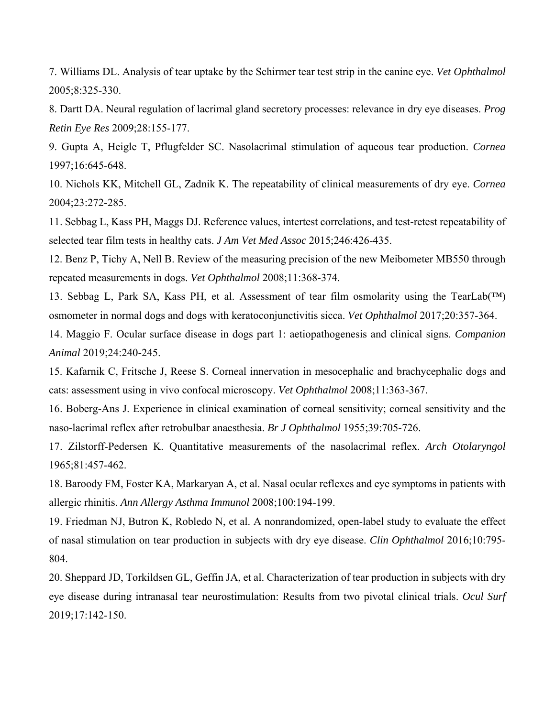7. Williams DL. Analysis of tear uptake by the Schirmer tear test strip in the canine eye. *Vet Ophthalmol* 2005;8:325-330.

8. Dartt DA. Neural regulation of lacrimal gland secretory processes: relevance in dry eye diseases. *Prog Retin Eye Res* 2009;28:155-177.

9. Gupta A, Heigle T, Pflugfelder SC. Nasolacrimal stimulation of aqueous tear production. *Cornea* 1997;16:645-648.

10. Nichols KK, Mitchell GL, Zadnik K. The repeatability of clinical measurements of dry eye. *Cornea* 2004;23:272-285.

11. Sebbag L, Kass PH, Maggs DJ. Reference values, intertest correlations, and test-retest repeatability of selected tear film tests in healthy cats. *J Am Vet Med Assoc* 2015;246:426-435.

12. Benz P, Tichy A, Nell B. Review of the measuring precision of the new Meibometer MB550 through repeated measurements in dogs. *Vet Ophthalmol* 2008;11:368-374.

13. Sebbag L, Park SA, Kass PH, et al. Assessment of tear film osmolarity using the TearLab(™) osmometer in normal dogs and dogs with keratoconjunctivitis sicca. *Vet Ophthalmol* 2017;20:357-364.

14. Maggio F. Ocular surface disease in dogs part 1: aetiopathogenesis and clinical signs. *Companion Animal* 2019;24:240-245.

15. Kafarnik C, Fritsche J, Reese S. Corneal innervation in mesocephalic and brachycephalic dogs and cats: assessment using in vivo confocal microscopy. *Vet Ophthalmol* 2008;11:363-367.

16. Boberg-Ans J. Experience in clinical examination of corneal sensitivity; corneal sensitivity and the naso-lacrimal reflex after retrobulbar anaesthesia. *Br J Ophthalmol* 1955;39:705-726.

17. Zilstorff-Pedersen K. Quantitative measurements of the nasolacrimal reflex. *Arch Otolaryngol* 1965;81:457-462.

18. Baroody FM, Foster KA, Markaryan A, et al. Nasal ocular reflexes and eye symptoms in patients with allergic rhinitis. *Ann Allergy Asthma Immunol* 2008;100:194-199.

19. Friedman NJ, Butron K, Robledo N, et al. A nonrandomized, open-label study to evaluate the effect of nasal stimulation on tear production in subjects with dry eye disease. *Clin Ophthalmol* 2016;10:795- 804.

20. Sheppard JD, Torkildsen GL, Geffin JA, et al. Characterization of tear production in subjects with dry eye disease during intranasal tear neurostimulation: Results from two pivotal clinical trials. *Ocul Surf* 2019;17:142-150.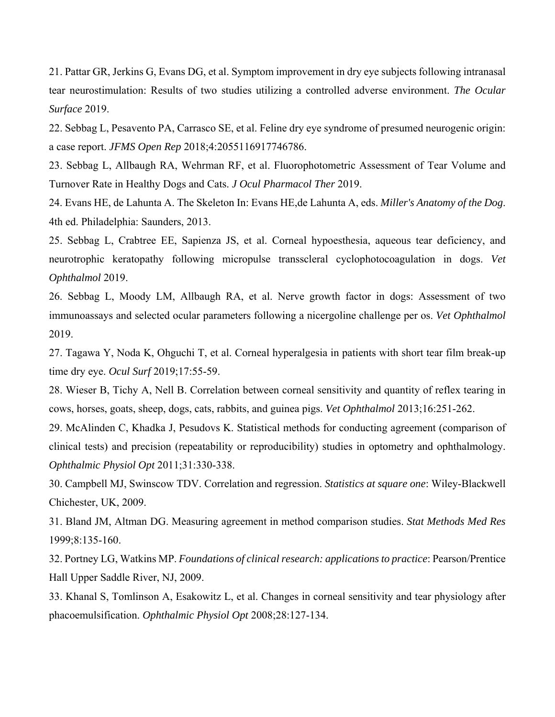21. Pattar GR, Jerkins G, Evans DG, et al. Symptom improvement in dry eye subjects following intranasal tear neurostimulation: Results of two studies utilizing a controlled adverse environment. *The Ocular Surface* 2019.

22. Sebbag L, Pesavento PA, Carrasco SE, et al. Feline dry eye syndrome of presumed neurogenic origin: a case report. *JFMS Open Rep* 2018;4:2055116917746786.

23. Sebbag L, Allbaugh RA, Wehrman RF, et al. Fluorophotometric Assessment of Tear Volume and Turnover Rate in Healthy Dogs and Cats. *J Ocul Pharmacol Ther* 2019.

24. Evans HE, de Lahunta A. The Skeleton In: Evans HE,de Lahunta A, eds. *Miller's Anatomy of the Dog*. 4th ed. Philadelphia: Saunders, 2013.

25. Sebbag L, Crabtree EE, Sapienza JS, et al. Corneal hypoesthesia, aqueous tear deficiency, and neurotrophic keratopathy following micropulse transscleral cyclophotocoagulation in dogs. *Vet Ophthalmol* 2019.

26. Sebbag L, Moody LM, Allbaugh RA, et al. Nerve growth factor in dogs: Assessment of two immunoassays and selected ocular parameters following a nicergoline challenge per os. *Vet Ophthalmol* 2019.

27. Tagawa Y, Noda K, Ohguchi T, et al. Corneal hyperalgesia in patients with short tear film break-up time dry eye. *Ocul Surf* 2019;17:55-59.

28. Wieser B, Tichy A, Nell B. Correlation between corneal sensitivity and quantity of reflex tearing in cows, horses, goats, sheep, dogs, cats, rabbits, and guinea pigs. *Vet Ophthalmol* 2013;16:251-262.

29. McAlinden C, Khadka J, Pesudovs K. Statistical methods for conducting agreement (comparison of clinical tests) and precision (repeatability or reproducibility) studies in optometry and ophthalmology. *Ophthalmic Physiol Opt* 2011;31:330-338.

30. Campbell MJ, Swinscow TDV. Correlation and regression. *Statistics at square one*: Wiley-Blackwell Chichester, UK, 2009.

31. Bland JM, Altman DG. Measuring agreement in method comparison studies. *Stat Methods Med Res* 1999;8:135-160.

32. Portney LG, Watkins MP. *Foundations of clinical research: applications to practice*: Pearson/Prentice Hall Upper Saddle River, NJ, 2009.

33. Khanal S, Tomlinson A, Esakowitz L, et al. Changes in corneal sensitivity and tear physiology after phacoemulsification. *Ophthalmic Physiol Opt* 2008;28:127-134.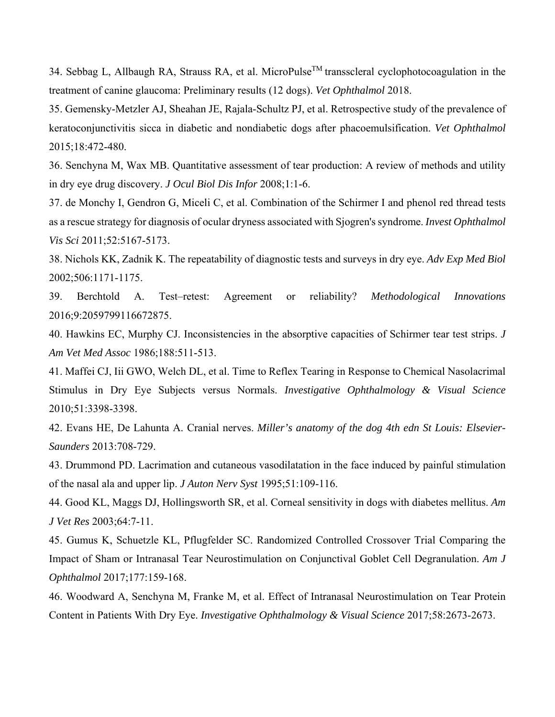34. Sebbag L, Allbaugh RA, Strauss RA, et al. MicroPulse<sup>TM</sup> transscleral cyclophotocoagulation in the treatment of canine glaucoma: Preliminary results (12 dogs). *Vet Ophthalmol* 2018.

35. Gemensky-Metzler AJ, Sheahan JE, Rajala-Schultz PJ, et al. Retrospective study of the prevalence of keratoconjunctivitis sicca in diabetic and nondiabetic dogs after phacoemulsification. *Vet Ophthalmol* 2015;18:472-480.

36. Senchyna M, Wax MB. Quantitative assessment of tear production: A review of methods and utility in dry eye drug discovery. *J Ocul Biol Dis Infor* 2008;1:1-6.

37. de Monchy I, Gendron G, Miceli C, et al. Combination of the Schirmer I and phenol red thread tests as a rescue strategy for diagnosis of ocular dryness associated with Sjogren's syndrome. *Invest Ophthalmol Vis Sci* 2011;52:5167-5173.

38. Nichols KK, Zadnik K. The repeatability of diagnostic tests and surveys in dry eye. *Adv Exp Med Biol* 2002;506:1171-1175.

39. Berchtold A. Test–retest: Agreement or reliability? *Methodological Innovations* 2016;9:2059799116672875.

40. Hawkins EC, Murphy CJ. Inconsistencies in the absorptive capacities of Schirmer tear test strips. *J Am Vet Med Assoc* 1986;188:511-513.

41. Maffei CJ, Iii GWO, Welch DL, et al. Time to Reflex Tearing in Response to Chemical Nasolacrimal Stimulus in Dry Eye Subjects versus Normals. *Investigative Ophthalmology & Visual Science* 2010;51:3398-3398.

42. Evans HE, De Lahunta A. Cranial nerves. *Miller's anatomy of the dog 4th edn St Louis: Elsevier-Saunders* 2013:708-729.

43. Drummond PD. Lacrimation and cutaneous vasodilatation in the face induced by painful stimulation of the nasal ala and upper lip. *J Auton Nerv Syst* 1995;51:109-116.

44. Good KL, Maggs DJ, Hollingsworth SR, et al. Corneal sensitivity in dogs with diabetes mellitus. *Am J Vet Res* 2003;64:7-11.

45. Gumus K, Schuetzle KL, Pflugfelder SC. Randomized Controlled Crossover Trial Comparing the Impact of Sham or Intranasal Tear Neurostimulation on Conjunctival Goblet Cell Degranulation. *Am J Ophthalmol* 2017;177:159-168.

46. Woodward A, Senchyna M, Franke M, et al. Effect of Intranasal Neurostimulation on Tear Protein Content in Patients With Dry Eye. *Investigative Ophthalmology & Visual Science* 2017;58:2673-2673.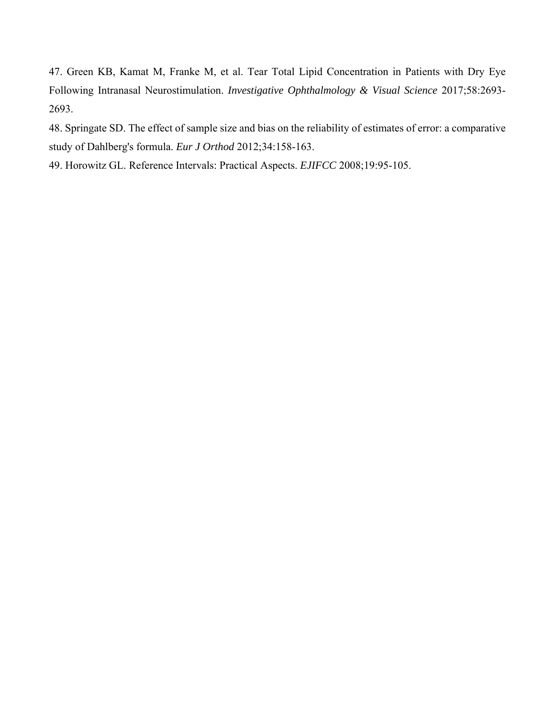47. Green KB, Kamat M, Franke M, et al. Tear Total Lipid Concentration in Patients with Dry Eye Following Intranasal Neurostimulation. *Investigative Ophthalmology & Visual Science* 2017;58:2693- 2693.

48. Springate SD. The effect of sample size and bias on the reliability of estimates of error: a comparative study of Dahlberg's formula. *Eur J Orthod* 2012;34:158-163.

49. Horowitz GL. Reference Intervals: Practical Aspects. *EJIFCC* 2008;19:95-105.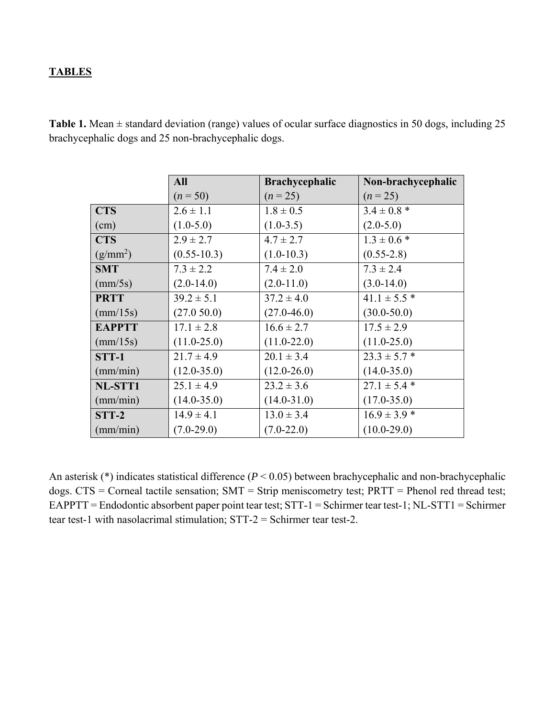# **TABLES**

| <b>Table 1.</b> Mean $\pm$ standard deviation (range) values of ocular surface diagnostics in 50 dogs, including 25 |  |  |
|---------------------------------------------------------------------------------------------------------------------|--|--|
| brachycephalic dogs and 25 non-brachycephalic dogs.                                                                 |  |  |

|                      | <b>All</b>      | <b>Brachycephalic</b> | Non-brachycephalic |
|----------------------|-----------------|-----------------------|--------------------|
|                      | $(n = 50)$      | $(n = 25)$            | $(n = 25)$         |
| <b>CTS</b>           | $2.6 \pm 1.1$   | $1.8 \pm 0.5$         | $3.4 \pm 0.8$ *    |
| (cm)                 | $(1.0-5.0)$     | $(1.0-3.5)$           | $(2.0-5.0)$        |
| <b>CTS</b>           | $2.9 \pm 2.7$   | $4.7 \pm 2.7$         | $1.3 \pm 0.6$ *    |
| (g/mm <sup>2</sup> ) | $(0.55 - 10.3)$ | $(1.0-10.3)$          | $(0.55-2.8)$       |
| <b>SMT</b>           | $7.3 \pm 2.2$   | $7.4 \pm 2.0$         | $7.3 \pm 2.4$      |
| $\text{(mm/5s)}$     | $(2.0-14.0)$    | $(2.0-11.0)$          | $(3.0-14.0)$       |
| <b>PRTT</b>          | $39.2 \pm 5.1$  | $37.2 \pm 4.0$        | $41.1 \pm 5.5$ *   |
| $\text{(mm/15s)}$    | (27.050.0)      | $(27.0 - 46.0)$       | $(30.0 - 50.0)$    |
| <b>EAPPTT</b>        | $17.1 \pm 2.8$  | $16.6 \pm 2.7$        | $17.5 \pm 2.9$     |
| $\text{(mm/15s)}$    | $(11.0 - 25.0)$ | $(11.0 - 22.0)$       | $(11.0 - 25.0)$    |
| $STT-1$              | $21.7 \pm 4.9$  | $20.1 \pm 3.4$        | $23.3 \pm 5.7$ *   |
| (mm/min)             | $(12.0 - 35.0)$ | $(12.0 - 26.0)$       | $(14.0 - 35.0)$    |
| NL-STT1              | $25.1 \pm 4.9$  | $23.2 \pm 3.6$        | $27.1 \pm 5.4$ *   |
| (mm/min)             | $(14.0 - 35.0)$ | $(14.0 - 31.0)$       | $(17.0 - 35.0)$    |
| $STT-2$              | $14.9 \pm 4.1$  | $13.0 \pm 3.4$        | $16.9 \pm 3.9$ *   |
| (mm/min)             | $(7.0-29.0)$    | $(7.0-22.0)$          | $(10.0-29.0)$      |

An asterisk (\*) indicates statistical difference (*P* < 0.05) between brachycephalic and non-brachycephalic dogs. CTS = Corneal tactile sensation; SMT = Strip meniscometry test; PRTT = Phenol red thread test; EAPPTT = Endodontic absorbent paper point tear test; STT-1 = Schirmer tear test-1; NL-STT1 = Schirmer tear test-1 with nasolacrimal stimulation; STT-2 = Schirmer tear test-2.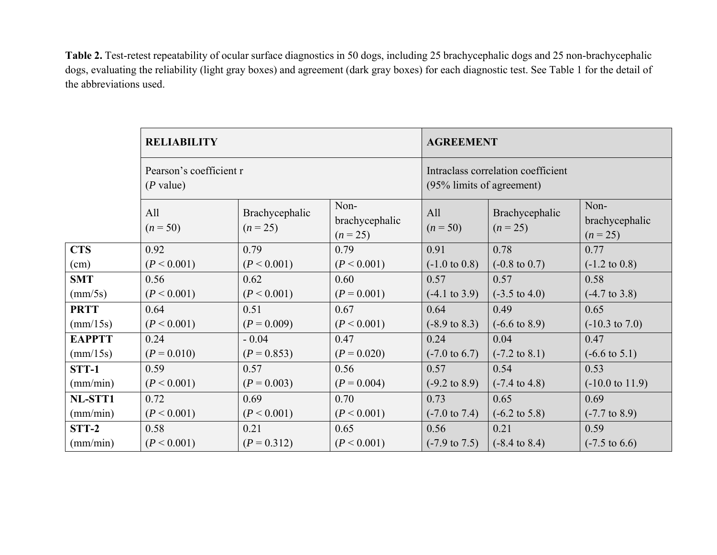**Table 2.** Test-retest repeatability of ocular surface diagnostics in 50 dogs, including 25 brachycephalic dogs and 25 non-brachycephalic dogs, evaluating the reliability (light gray boxes) and agreement (dark gray boxes) for each diagnostic test. See Table 1 for the detail of the abbreviations used.

|                   | <b>RELIABILITY</b><br>Pearson's coefficient r<br>$(P$ value) |                              |                                      | <b>AGREEMENT</b>                                                |                              |                                      |  |
|-------------------|--------------------------------------------------------------|------------------------------|--------------------------------------|-----------------------------------------------------------------|------------------------------|--------------------------------------|--|
|                   |                                                              |                              |                                      | Intraclass correlation coefficient<br>(95% limits of agreement) |                              |                                      |  |
|                   | All<br>$(n = 50)$                                            | Brachycephalic<br>$(n = 25)$ | Non-<br>brachycephalic<br>$(n = 25)$ | All<br>$(n = 50)$                                               | Brachycephalic<br>$(n = 25)$ | Non-<br>brachycephalic<br>$(n = 25)$ |  |
| <b>CTS</b>        | 0.92                                                         | 0.79                         | 0.79                                 | 0.91                                                            | 0.78                         | 0.77                                 |  |
| (cm)              | (P < 0.001)                                                  | (P < 0.001)                  | (P < 0.001)                          | $(-1.0 \text{ to } 0.8)$                                        | $(-0.8 \text{ to } 0.7)$     | $(-1.2 \text{ to } 0.8)$             |  |
| <b>SMT</b>        | 0.56                                                         | 0.62                         | 0.60                                 | 0.57                                                            | 0.57                         | 0.58                                 |  |
| $\text{(mm/5s)}$  | (P < 0.001)                                                  | (P < 0.001)                  | $(P = 0.001)$                        | $(-4.1 \text{ to } 3.9)$                                        | $(-3.5 \text{ to } 4.0)$     | $(-4.7 \text{ to } 3.8)$             |  |
| <b>PRTT</b>       | 0.64                                                         | 0.51                         | 0.67                                 | 0.64                                                            | 0.49                         | 0.65                                 |  |
| $\text{(mm/15s)}$ | (P < 0.001)                                                  | $(P = 0.009)$                | (P < 0.001)                          | $(-8.9 \text{ to } 8.3)$                                        | $(-6.6 \text{ to } 8.9)$     | $(-10.3 \text{ to } 7.0)$            |  |
| <b>EAPPTT</b>     | 0.24                                                         | $-0.04$                      | 0.47                                 | 0.24                                                            | 0.04                         | 0.47                                 |  |
| $\text{(mm/15s)}$ | $(P = 0.010)$                                                | $(P = 0.853)$                | $(P = 0.020)$                        | $(-7.0 \text{ to } 6.7)$                                        | $(-7.2 \text{ to } 8.1)$     | $(-6.6 \text{ to } 5.1)$             |  |
| <b>STT-1</b>      | 0.59                                                         | 0.57                         | 0.56                                 | 0.57                                                            | 0.54                         | 0.53                                 |  |
| (mm/min)          | (P < 0.001)                                                  | $(P = 0.003)$                | $(P = 0.004)$                        | $(-9.2 \text{ to } 8.9)$                                        | $(-7.4 \text{ to } 4.8)$     | $(-10.0 \text{ to } 11.9)$           |  |
| NL-STT1           | 0.72                                                         | 0.69                         | 0.70                                 | 0.73                                                            | 0.65                         | 0.69                                 |  |
| (mm/min)          | (P < 0.001)                                                  | (P < 0.001)                  | (P < 0.001)                          | $(-7.0 \text{ to } 7.4)$                                        | $(-6.2 \text{ to } 5.8)$     | $(-7.7 \text{ to } 8.9)$             |  |
| STT-2             | 0.58                                                         | 0.21                         | 0.65                                 | 0.56                                                            | 0.21                         | 0.59                                 |  |
| (mm/min)          | (P < 0.001)                                                  | $(P = 0.312)$                | (P < 0.001)                          | $(-7.9 \text{ to } 7.5)$                                        | $(-8.4 \text{ to } 8.4)$     | $(-7.5 \text{ to } 6.6)$             |  |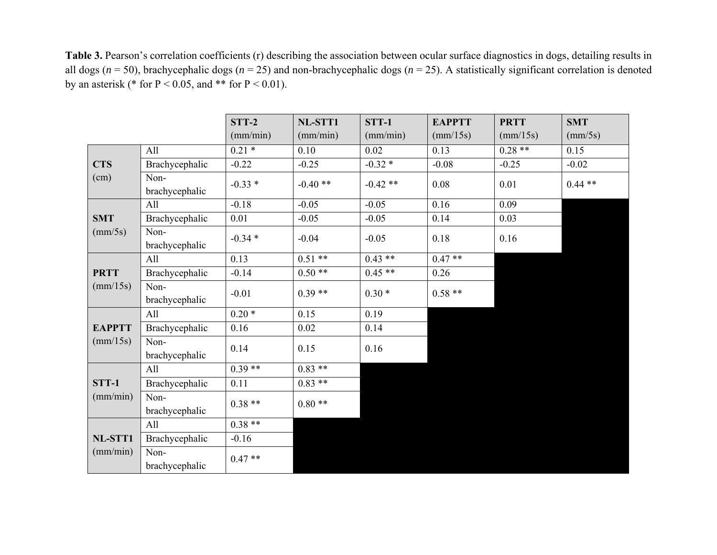Table 3. Pearson's correlation coefficients (r) describing the association between ocular surface diagnostics in dogs, detailing results in all dogs (*<sup>n</sup>* = 50), brachycephalic dogs (*<sup>n</sup>* = 25) and non-brachycephalic dogs (*<sup>n</sup>* = 25). A statistically significant correlation is denoted by an asterisk (\* for  $P < 0.05$ , and \*\* for  $P < 0.01$ ).

|                     |                        | $STT-2$           | NL-STT1   | STT-1     | <b>EAPPTT</b>     | <b>PRTT</b>       | <b>SMT</b>       |
|---------------------|------------------------|-------------------|-----------|-----------|-------------------|-------------------|------------------|
|                     |                        | (mm/min)          | (mm/min)  | (mm/min)  | $\text{(mm/15s)}$ | $\text{(mm/15s)}$ | $\text{(mm/5s)}$ |
| <b>CTS</b><br>(cm)  | All                    | $\frac{0.21*}{2}$ | 0.10      | 0.02      | 0.13              | $0.28**$          | 0.15             |
|                     | Brachycephalic         | $-0.22$           | $-0.25$   | $-0.32*$  | $-0.08$           | $-0.25$           | $-0.02$          |
|                     | Non-<br>brachycephalic | $-0.33*$          | $-0.40**$ | $-0.42**$ | 0.08              | 0.01              | $0.44**$         |
|                     | All                    | $-0.18$           | $-0.05$   | $-0.05$   | 0.16              | 0.09              |                  |
| <b>SMT</b>          | Brachycephalic         | 0.01              | $-0.05$   | $-0.05$   | 0.14              | 0.03              |                  |
| $\text{(mm/5s)}$    | Non-<br>brachycephalic | $-0.34*$          | $-0.04$   | $-0.05$   | 0.18              | 0.16              |                  |
|                     | All                    | 0.13              | $0.51***$ | $0.43**$  | $0.47**$          |                   |                  |
| <b>PRTT</b>         | Brachycephalic         | $-0.14$           | $0.50**$  | $0.45**$  | 0.26              |                   |                  |
| $\text{(mm/15s)}$   | Non-<br>brachycephalic | $-0.01$           | $0.39**$  | $0.30*$   | $0.58**$          |                   |                  |
|                     | All                    | $0.20*$           | 0.15      | 0.19      |                   |                   |                  |
| <b>EAPPTT</b>       | Brachycephalic         | 0.16              | 0.02      | 0.14      |                   |                   |                  |
| $\text{(mm/15s)}$   | Non-<br>brachycephalic | 0.14              | 0.15      | 0.16      |                   |                   |                  |
| STT-1<br>(mm/min)   | All                    | $0.39**$          | $0.83**$  |           |                   |                   |                  |
|                     | Brachycephalic         | 0.11              | $0.83$ ** |           |                   |                   |                  |
|                     | Non-<br>brachycephalic | $0.38**$          | $0.80**$  |           |                   |                   |                  |
| NL-STT1<br>(mm/min) | All                    | $0.38**$          |           |           |                   |                   |                  |
|                     | Brachycephalic         | $-0.16$           |           |           |                   |                   |                  |
|                     | Non-<br>brachycephalic | $0.47**$          |           |           |                   |                   |                  |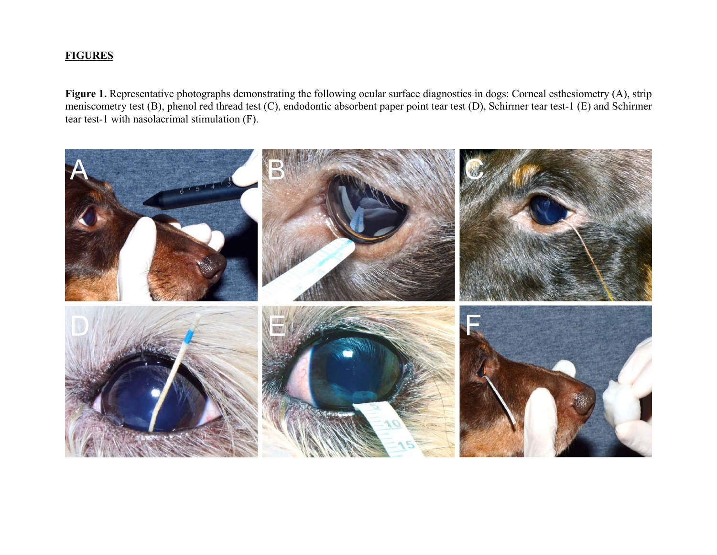# **FIGURES**

Figure 1. Representative photographs demonstrating the following ocular surface diagnostics in dogs: Corneal esthesiometry (A), strip meniscometry test (B), phenol red thread test (C), endodontic absorbent paper point tear test (D), Schirmer tear test-1 (E) and Schirmer tear test-1 with nasolacrimal stimulation (F).

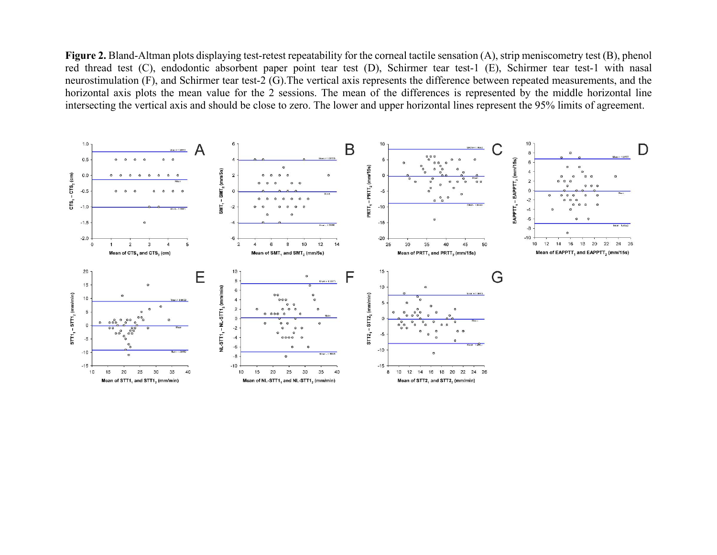**Figure 2.** Bland-Altman plots displaying test-retest repeatability for the corneal tactile sensation (A), strip meniscometry test (B), phenol red thread test (C), endodontic absorbent paper point tear test (D), Schirmer tear test-1 (E), Schirmer tear test-1 with nasal neurostimulation (F), and Schirmer tear test-2 (G).The vertical axis represents the difference between repeated measurements, and the horizontal axis plots the mean value for the 2 sessions. The mean of the differences is represented by the middle horizontal line intersecting the vertical axis and should be close to zero. The lower and upper horizontal lines represent the 95% limits of agreement.

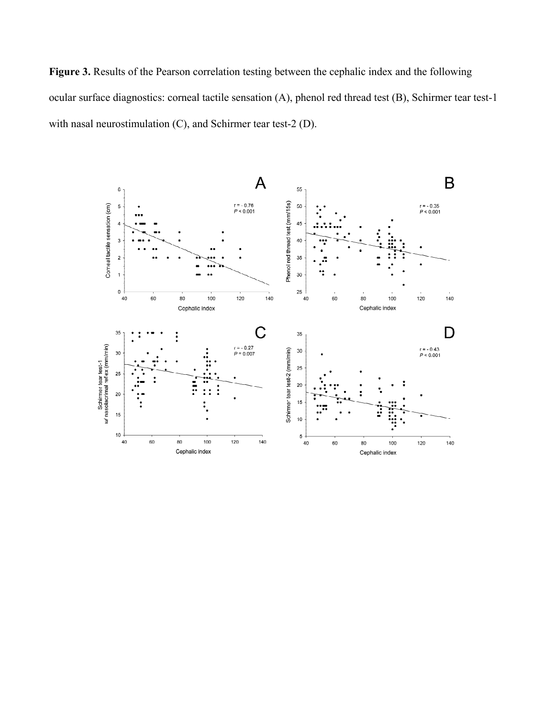**Figure 3.** Results of the Pearson correlation testing between the cephalic index and the following ocular surface diagnostics: corneal tactile sensation (A), phenol red thread test (B), Schirmer tear test-1 with nasal neurostimulation (C), and Schirmer tear test-2 (D).